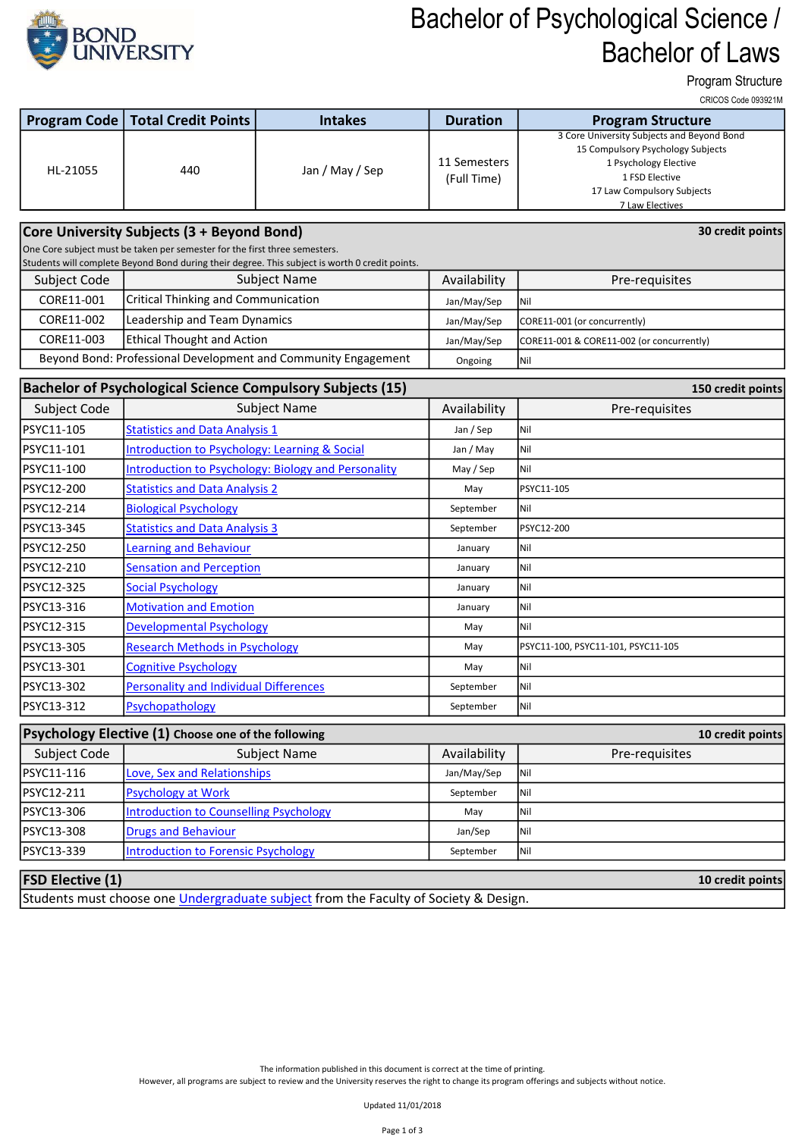

## Bachelor of Psychological Science / Bachelor of Laws

Program Structure

CRICOS Code 093921M

| Program Code                                                                           | <b>Total Credit Points</b>                                                                     | <b>Intakes</b>                                                 | <b>Duration</b>             | <b>UNIUUJ UUUT UJJJZ IIV</b><br><b>Program Structure</b>                                                                                                                    |  |  |  |
|----------------------------------------------------------------------------------------|------------------------------------------------------------------------------------------------|----------------------------------------------------------------|-----------------------------|-----------------------------------------------------------------------------------------------------------------------------------------------------------------------------|--|--|--|
| HL-21055                                                                               | 440                                                                                            | Jan / May / Sep                                                | 11 Semesters<br>(Full Time) | 3 Core University Subjects and Beyond Bond<br>15 Compulsory Psychology Subjects<br>1 Psychology Elective<br>1 FSD Elective<br>17 Law Compulsory Subjects<br>7 Law Electives |  |  |  |
|                                                                                        | Core University Subjects (3 + Beyond Bond)                                                     |                                                                |                             | 30 credit points                                                                                                                                                            |  |  |  |
| One Core subject must be taken per semester for the first three semesters.             |                                                                                                |                                                                |                             |                                                                                                                                                                             |  |  |  |
|                                                                                        | Students will complete Beyond Bond during their degree. This subject is worth 0 credit points. |                                                                |                             |                                                                                                                                                                             |  |  |  |
| Subject Code                                                                           | Subject Name                                                                                   |                                                                | Availability                | Pre-requisites                                                                                                                                                              |  |  |  |
| CORE11-001                                                                             | <b>Critical Thinking and Communication</b>                                                     |                                                                | Jan/May/Sep                 | Nil                                                                                                                                                                         |  |  |  |
| CORE11-002                                                                             | Leadership and Team Dynamics                                                                   |                                                                | Jan/May/Sep                 | CORE11-001 (or concurrently)                                                                                                                                                |  |  |  |
| CORE11-003                                                                             | <b>Ethical Thought and Action</b>                                                              |                                                                | Jan/May/Sep                 | CORE11-001 & CORE11-002 (or concurrently)                                                                                                                                   |  |  |  |
|                                                                                        |                                                                                                | Beyond Bond: Professional Development and Community Engagement | Ongoing                     | Nil                                                                                                                                                                         |  |  |  |
| <b>Bachelor of Psychological Science Compulsory Subjects (15)</b><br>150 credit points |                                                                                                |                                                                |                             |                                                                                                                                                                             |  |  |  |
| Subject Code                                                                           |                                                                                                | <b>Subject Name</b>                                            | Availability                | Pre-requisites                                                                                                                                                              |  |  |  |
| PSYC11-105                                                                             | <b>Statistics and Data Analysis 1</b>                                                          |                                                                | Jan / Sep                   | Nil                                                                                                                                                                         |  |  |  |
| PSYC11-101                                                                             | <b>Introduction to Psychology: Learning &amp; Social</b>                                       |                                                                | Jan / May                   | Nil                                                                                                                                                                         |  |  |  |
| PSYC11-100                                                                             |                                                                                                | <b>Introduction to Psychology: Biology and Personality</b>     | May / Sep                   | Nil                                                                                                                                                                         |  |  |  |
| PSYC12-200                                                                             | <b>Statistics and Data Analysis 2</b>                                                          |                                                                | May                         | PSYC11-105                                                                                                                                                                  |  |  |  |
| PSYC12-214                                                                             | <b>Biological Psychology</b>                                                                   |                                                                | September                   | Nil                                                                                                                                                                         |  |  |  |
| PSYC13-345                                                                             | <b>Statistics and Data Analysis 3</b>                                                          |                                                                | September                   | PSYC12-200                                                                                                                                                                  |  |  |  |
| PSYC12-250                                                                             | Learning and Behaviour                                                                         |                                                                | January                     | Nil                                                                                                                                                                         |  |  |  |
| PSYC12-210                                                                             | <b>Sensation and Perception</b>                                                                |                                                                | January                     | Nil                                                                                                                                                                         |  |  |  |
| PSYC12-325                                                                             | <b>Social Psychology</b>                                                                       |                                                                | January                     | Nil                                                                                                                                                                         |  |  |  |
| PSYC13-316                                                                             | <b>Motivation and Emotion</b>                                                                  |                                                                | January                     | Nil                                                                                                                                                                         |  |  |  |
| PSYC12-315                                                                             | <b>Developmental Psychology</b>                                                                |                                                                | May                         | Nil                                                                                                                                                                         |  |  |  |
| PSYC13-305                                                                             | <b>Research Methods in Psychology</b>                                                          |                                                                | May                         | PSYC11-100, PSYC11-101, PSYC11-105                                                                                                                                          |  |  |  |
| PSYC13-301                                                                             | <b>Cognitive Psychology</b>                                                                    |                                                                | May                         | Nil                                                                                                                                                                         |  |  |  |
| PSYC13-302                                                                             | <b>Personality and Individual Differences</b>                                                  |                                                                | September                   | Nil                                                                                                                                                                         |  |  |  |
| PSYC13-312                                                                             | Psychopathology                                                                                |                                                                | September                   | Nil                                                                                                                                                                         |  |  |  |
|                                                                                        | Psychology Elective (1) Choose one of the following                                            |                                                                |                             | 10 credit points                                                                                                                                                            |  |  |  |
| <b>Subject Code</b>                                                                    |                                                                                                | <b>Subject Name</b>                                            | Availability                | Pre-requisites                                                                                                                                                              |  |  |  |
| PSYC11-116                                                                             | Love, Sex and Relationships                                                                    |                                                                | Jan/May/Sep                 | Nil                                                                                                                                                                         |  |  |  |
| PSYC12-211                                                                             | <b>Psychology at Work</b>                                                                      |                                                                | September                   | Nil                                                                                                                                                                         |  |  |  |
| PSYC13-306                                                                             | <b>Introduction to Counselling Psychology</b>                                                  |                                                                | May                         | Nil                                                                                                                                                                         |  |  |  |
| PSYC13-308                                                                             | <b>Drugs and Behaviour</b>                                                                     |                                                                | Jan/Sep                     | Nil                                                                                                                                                                         |  |  |  |
| PSYC13-339                                                                             | <b>Introduction to Forensic Psychology</b>                                                     |                                                                | September                   | Nil                                                                                                                                                                         |  |  |  |
| <b>FSD Elective (1)</b><br>10 credit points                                            |                                                                                                |                                                                |                             |                                                                                                                                                                             |  |  |  |

Students must choose one Undergraduate subject from the Faculty of Society & Design.

The information published in this document is correct at the time of printing.

However, all programs are subject to review and the University reserves the right to change its program offerings and subjects without notice.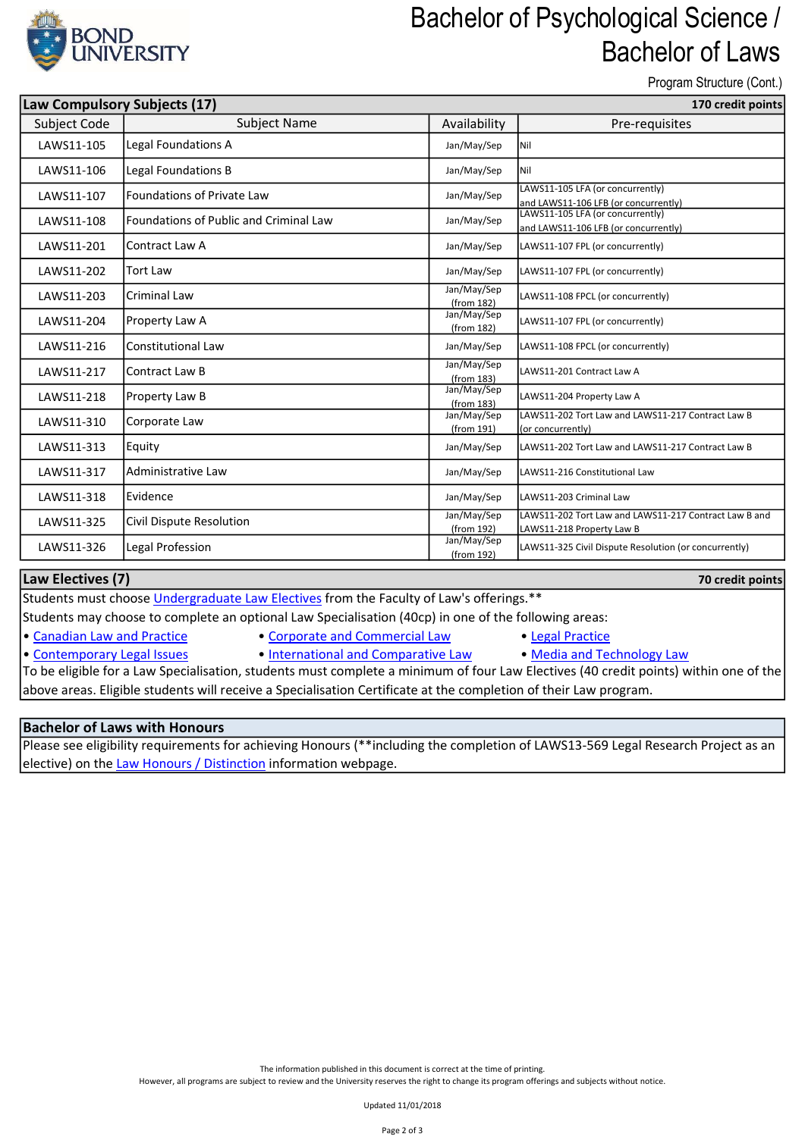

### Bachelor of Psychological Science / Bachelor of Laws

Program Structure (Cont.)

| Law Compulsory Subjects (17) |                                               | 170 credit points         |                                                                                    |
|------------------------------|-----------------------------------------------|---------------------------|------------------------------------------------------------------------------------|
| Subject Code                 | <b>Subject Name</b>                           | Availability              | Pre-requisites                                                                     |
| LAWS11-105                   | Legal Foundations A                           | Jan/May/Sep               | l Nil                                                                              |
| LAWS11-106                   | Legal Foundations B                           | Jan/May/Sep               | Inil                                                                               |
| LAWS11-107                   | <b>Foundations of Private Law</b>             | Jan/May/Sep               | LAWS11-105 LFA (or concurrently)<br>and LAWS11-106 LFB (or concurrently)           |
| LAWS11-108                   | <b>Foundations of Public and Criminal Law</b> | Jan/May/Sep               | LAWS11-105 LFA (or concurrently)<br>and LAWS11-106 LFB (or concurrently)           |
| LAWS11-201                   | Contract Law A                                | Jan/May/Sep               | LAWS11-107 FPL (or concurrently)                                                   |
| LAWS11-202                   | <b>Tort Law</b>                               | Jan/May/Sep               | LAWS11-107 FPL (or concurrently)                                                   |
| LAWS11-203                   | <b>Criminal Law</b>                           | Jan/May/Sep<br>(from 182) | LAWS11-108 FPCL (or concurrently)                                                  |
| LAWS11-204                   | Property Law A                                | Jan/May/Sep<br>(from 182) | LAWS11-107 FPL (or concurrently)                                                   |
| LAWS11-216                   | <b>Constitutional Law</b>                     | Jan/May/Sep               | LAWS11-108 FPCL (or concurrently)                                                  |
| LAWS11-217                   | Contract Law B                                | Jan/May/Sep<br>(from 183) | LAWS11-201 Contract Law A                                                          |
| LAWS11-218                   | Property Law B                                | Jan/May/Sep<br>(from 183) | LAWS11-204 Property Law A                                                          |
| LAWS11-310                   | Corporate Law                                 | Jan/May/Sep<br>(from 191) | LAWS11-202 Tort Law and LAWS11-217 Contract Law B<br>(or concurrently)             |
| LAWS11-313                   | Equity                                        | Jan/May/Sep               | LAWS11-202 Tort Law and LAWS11-217 Contract Law B                                  |
| LAWS11-317                   | Administrative Law                            | Jan/May/Sep               | LAWS11-216 Constitutional Law                                                      |
| LAWS11-318                   | Evidence                                      | Jan/May/Sep               | LAWS11-203 Criminal Law                                                            |
| LAWS11-325                   | Civil Dispute Resolution                      | Jan/May/Sep<br>(from 192) | LAWS11-202 Tort Law and LAWS11-217 Contract Law B and<br>LAWS11-218 Property Law B |
| LAWS11-326                   | Legal Profession                              | Jan/May/Sep<br>(from 192) | LAWS11-325 Civil Dispute Resolution (or concurrently)                              |

#### Law Electives (7)

Students must choose Undergraduate Law Electives from the Faculty of Law's offerings.\*\*

Students may choose to complete an optional Law Specialisation (40cp) in one of the following areas:

- Canadian Law and Practice Corporate and Commercial Law Legal Practice
- Contemporary Legal Issues International and Comparative Law Media and Technology Law
	-

To be eligible for a Law Specialisation, students must complete a minimum of four Law Electives (40 credit points) within one of the above areas. Eligible students will receive a Specialisation Certificate at the completion of their Law program.

#### Bachelor of Laws with Honours

Please see eligibility requirements for achieving Honours (\*\*including the completion of LAWS13-569 Legal Research Project as an elective) on the Law Honours / Distinction information webpage.

However, all programs are subject to review and the University reserves the right to change its program offerings and subjects without notice.

Updated 11/01/2018

70 credit points